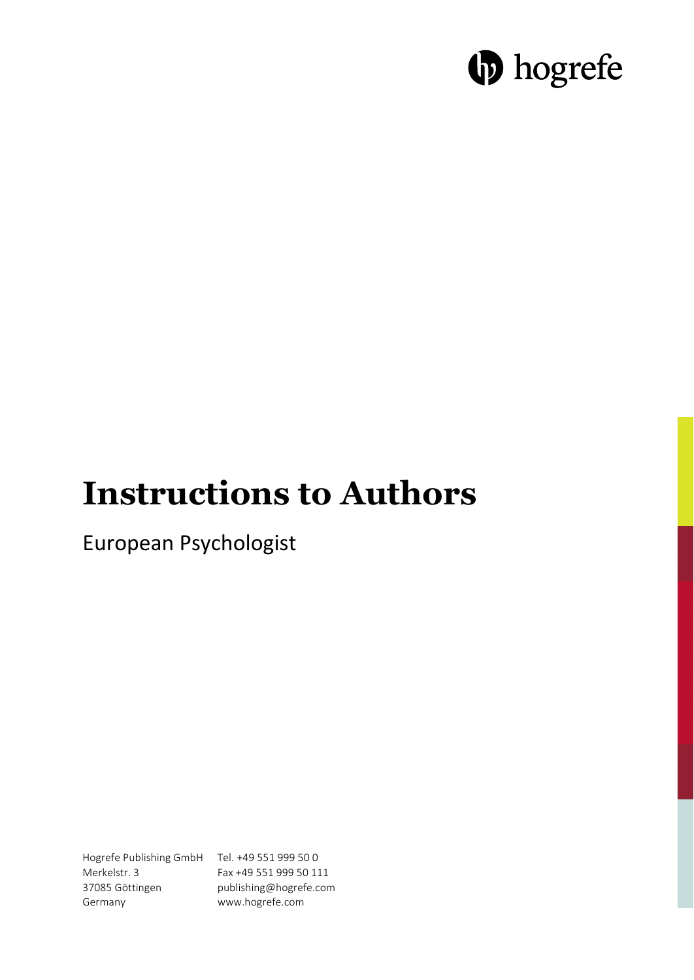# **D** hogrefe

# **Instructions to Authors**

European Psychologist

Hogrefe Publishing GmbH Tel. +49 551 999 50 0 Merkelstr. 3 37085 Göttingen Germany

Fax +49 551 999 50 111 publishing@hogrefe.com www.hogrefe.com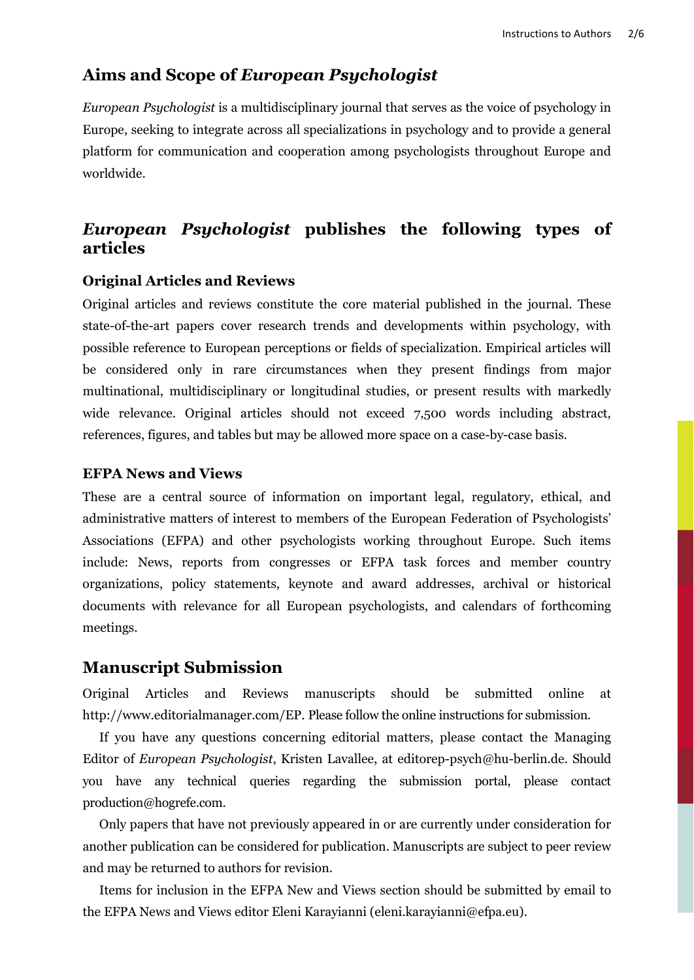# **Aims and Scope of** *European Psychologist*

*European Psychologist* is a multidisciplinary journal that serves as the voice of psychology in Europe, seeking to integrate across all specializations in psychology and to provide a general platform for communication and cooperation among psychologists throughout Europe and worldwide.

# *European Psychologist* **publishes the following types of articles**

#### **Original Articles and Reviews**

Original articles and reviews constitute the core material published in the journal. These state-of-the-art papers cover research trends and developments within psychology, with possible reference to European perceptions or fields of specialization. Empirical articles will be considered only in rare circumstances when they present findings from major multinational, multidisciplinary or longitudinal studies, or present results with markedly wide relevance. Original articles should not exceed 7,500 words including abstract, references, figures, and tables but may be allowed more space on a case-by-case basis.

#### **EFPA News and Views**

These are a central source of information on important legal, regulatory, ethical, and administrative matters of interest to members of the European Federation of Psychologists' Associations (EFPA) and other psychologists working throughout Europe. Such items include: News, reports from congresses or EFPA task forces and member country organizations, policy statements, keynote and award addresses, archival or historical documents with relevance for all European psychologists, and calendars of forthcoming meetings.

#### **Manuscript Submission**

Original Articles and Reviews manuscripts should be submitted online at http://www.editorialmanager.com/EP. Please follow the online instructions for submission.

If you have any questions concerning editorial matters, please contact the Managing Editor of *European Psychologist*, Kristen Lavallee, at editorep-psych@hu-berlin.de. Should you have any technical queries regarding the submission portal, please contact [production@hogrefe.com.](mailto:production@hogrefe.com)

Only papers that have not previously appeared in or are currently under consideration for another publication can be considered for publication. Manuscripts are subject to peer review and may be returned to authors for revision.

Items for inclusion in the EFPA New and Views section should be submitted by email to the EFPA News and Views editor Eleni Karayianni (eleni.karayianni@efpa.eu).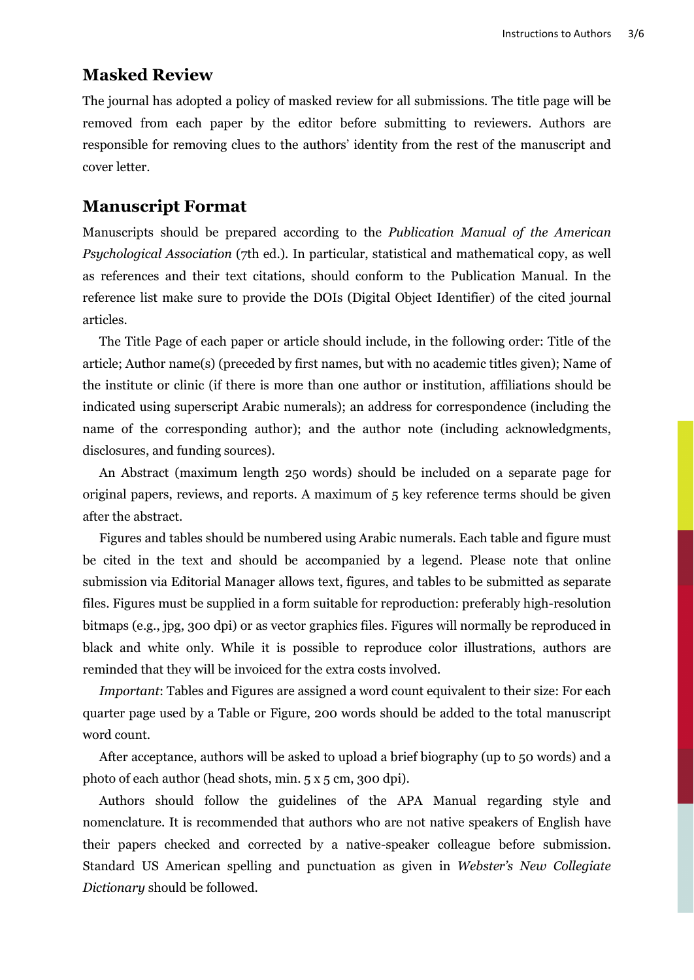# **Masked Review**

The journal has adopted a policy of masked review for all submissions. The title page will be removed from each paper by the editor before submitting to reviewers. Authors are responsible for removing clues to the authors' identity from the rest of the manuscript and cover letter.

#### **Manuscript Format**

Manuscripts should be prepared according to the *Publication Manual of the American Psychological Association* (7th ed.). In particular, statistical and mathematical copy, as well as references and their text citations, should conform to the Publication Manual. In the reference list make sure to provide the DOIs (Digital Object Identifier) of the cited journal articles.

The Title Page of each paper or article should include, in the following order: Title of the article; Author name(s) (preceded by first names, but with no academic titles given); Name of the institute or clinic (if there is more than one author or institution, affiliations should be indicated using superscript Arabic numerals); an address for correspondence (including the name of the corresponding author); and the author note (including acknowledgments, disclosures, and funding sources).

An Abstract (maximum length 250 words) should be included on a separate page for original papers, reviews, and reports. A maximum of 5 key reference terms should be given after the abstract.

Figures and tables should be numbered using Arabic numerals. Each table and figure must be cited in the text and should be accompanied by a legend. Please note that online submission via Editorial Manager allows text, figures, and tables to be submitted as separate files. Figures must be supplied in a form suitable for reproduction: preferably high-resolution bitmaps (e.g., jpg, 300 dpi) or as vector graphics files. Figures will normally be reproduced in black and white only. While it is possible to reproduce color illustrations, authors are reminded that they will be invoiced for the extra costs involved.

*Important*: Tables and Figures are assigned a word count equivalent to their size: For each quarter page used by a Table or Figure, 200 words should be added to the total manuscript word count.

After acceptance, authors will be asked to upload a brief biography (up to 50 words) and a photo of each author (head shots, min. 5 x 5 cm, 300 dpi).

Authors should follow the guidelines of the APA Manual regarding style and nomenclature. It is recommended that authors who are not native speakers of English have their papers checked and corrected by a native-speaker colleague before submission. Standard US American spelling and punctuation as given in *Webster's New Collegiate Dictionary* should be followed.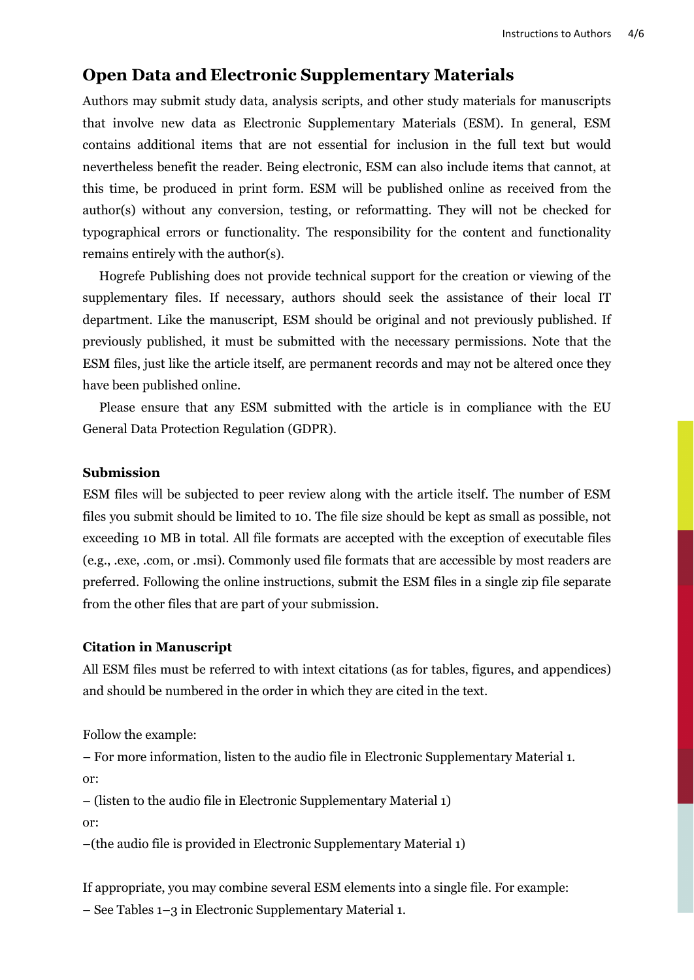### **Open Data and Electronic Supplementary Materials**

Authors may submit study data, analysis scripts, and other study materials for manuscripts that involve new data as Electronic Supplementary Materials (ESM). In general, ESM contains additional items that are not essential for inclusion in the full text but would nevertheless benefit the reader. Being electronic, ESM can also include items that cannot, at this time, be produced in print form. ESM will be published online as received from the author(s) without any conversion, testing, or reformatting. They will not be checked for typographical errors or functionality. The responsibility for the content and functionality remains entirely with the author(s).

Hogrefe Publishing does not provide technical support for the creation or viewing of the supplementary files. If necessary, authors should seek the assistance of their local IT department. Like the manuscript, ESM should be original and not previously published. If previously published, it must be submitted with the necessary permissions. Note that the ESM files, just like the article itself, are permanent records and may not be altered once they have been published online.

Please ensure that any ESM submitted with the article is in compliance with the EU General Data Protection Regulation (GDPR).

#### **Submission**

ESM files will be subjected to peer review along with the article itself. The number of ESM files you submit should be limited to 10. The file size should be kept as small as possible, not exceeding 10 MB in total. All file formats are accepted with the exception of executable files (e.g., .exe, .com, or .msi). Commonly used file formats that are accessible by most readers are preferred. Following the online instructions, submit the ESM files in a single zip file separate from the other files that are part of your submission.

#### **Citation in Manuscript**

All ESM files must be referred to with intext citations (as for tables, figures, and appendices) and should be numbered in the order in which they are cited in the text.

Follow the example:

– For more information, listen to the audio file in Electronic Supplementary Material 1. or:

– (listen to the audio file in Electronic Supplementary Material 1)

or:

–(the audio file is provided in Electronic Supplementary Material 1)

If appropriate, you may combine several ESM elements into a single file. For example: – See Tables 1–3 in Electronic Supplementary Material 1.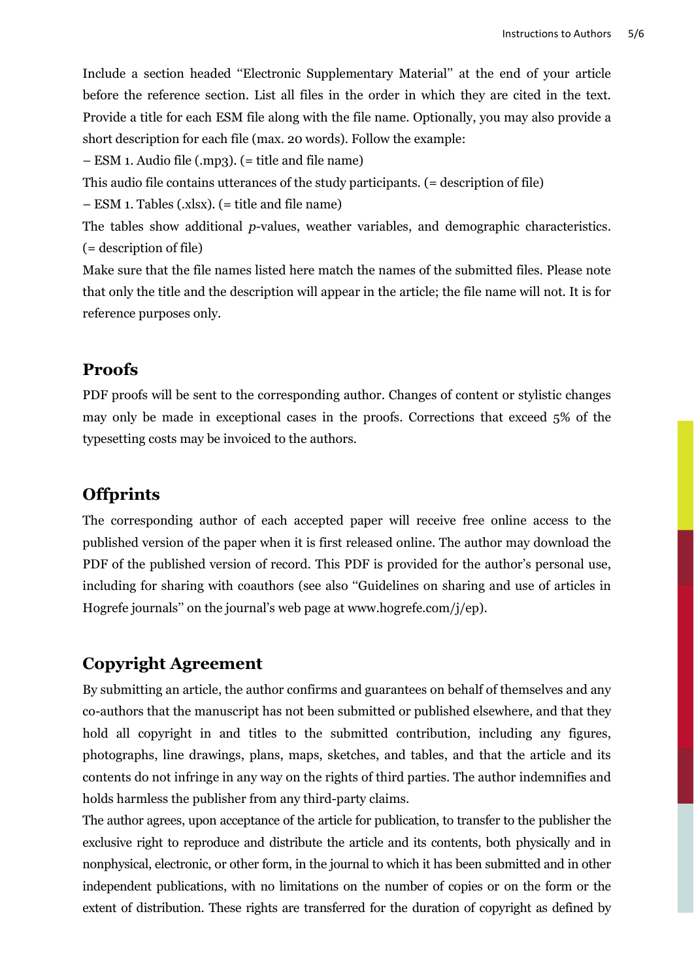Include a section headed ''Electronic Supplementary Material'' at the end of your article before the reference section. List all files in the order in which they are cited in the text. Provide a title for each ESM file along with the file name. Optionally, you may also provide a short description for each file (max. 20 words). Follow the example:

– ESM 1. Audio file (.mp3). (= title and file name)

This audio file contains utterances of the study participants. (= description of file)

– ESM 1. Tables (.xlsx). (= title and file name)

The tables show additional *p*-values, weather variables, and demographic characteristics. (= description of file)

Make sure that the file names listed here match the names of the submitted files. Please note that only the title and the description will appear in the article; the file name will not. It is for reference purposes only.

# **Proofs**

PDF proofs will be sent to the corresponding author. Changes of content or stylistic changes may only be made in exceptional cases in the proofs. Corrections that exceed 5% of the typesetting costs may be invoiced to the authors.

# **Offprints**

The corresponding author of each accepted paper will receive free online access to the published version of the paper when it is first released online. The author may download the PDF of the published version of record. This PDF is provided for the author's personal use, including for sharing with coauthors (see also ''Guidelines on sharing and use of articles in Hogrefe journals" on the journal's web page at [www.hogrefe.com/](file://HOGREFE-SRV-21/Dregs/Journals/pps/Admin/Instructions_to_authors_revision_2016/www.hogrefe.com) $j/ep$ ).

# **Copyright Agreement**

By submitting an article, the author confirms and guarantees on behalf of themselves and any co-authors that the manuscript has not been submitted or published elsewhere, and that they hold all copyright in and titles to the submitted contribution, including any figures, photographs, line drawings, plans, maps, sketches, and tables, and that the article and its contents do not infringe in any way on the rights of third parties. The author indemnifies and holds harmless the publisher from any third-party claims.

The author agrees, upon acceptance of the article for publication, to transfer to the publisher the exclusive right to reproduce and distribute the article and its contents, both physically and in nonphysical, electronic, or other form, in the journal to which it has been submitted and in other independent publications, with no limitations on the number of copies or on the form or the extent of distribution. These rights are transferred for the duration of copyright as defined by